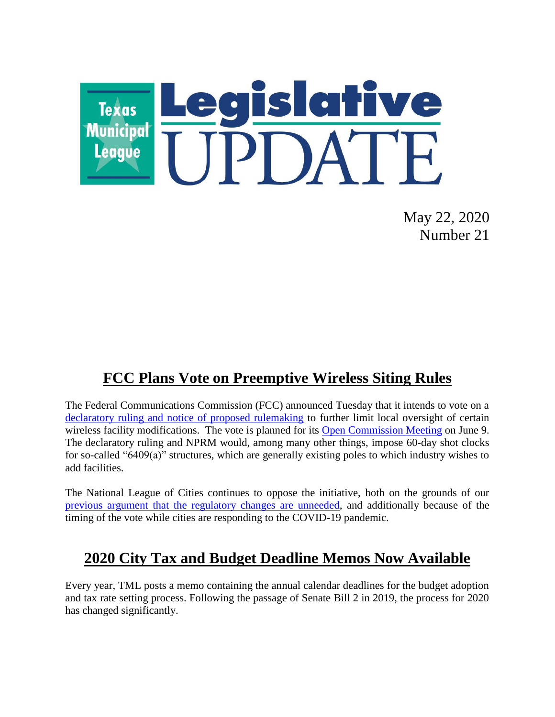

May 22, 2020 Number 21

## **FCC Plans Vote on Preemptive Wireless Siting Rules**

The Federal Communications Commission (FCC) announced Tuesday that it intends to vote on a [declaratory ruling and notice of proposed rulemaking](https://www.fcc.gov/document/accelerating-deployment-5g-wireless-infrastructure) to further limit local oversight of certain wireless facility modifications. The vote is planned for its [Open Commission Meeting](https://www.fcc.gov/news-events/events/2020/06/june-2020-open-commission-meeting) on June 9. The declaratory ruling and NPRM would, among many other things, impose 60-day shot clocks for so-called "6409(a)" structures, which are generally existing poles to which industry wishes to add facilities.

The National League of Cities continues to oppose the initiative, both on the grounds of our [previous argument that the regulatory changes are unneeded,](https://citiesspeak.org/2019/11/04/nlc-local-allies-oppose-wireless-petitions-before-fcc/) and additionally because of the timing of the vote while cities are responding to the COVID-19 pandemic.

## **2020 City Tax and Budget Deadline Memos Now Available**

Every year, TML posts a memo containing the annual calendar deadlines for the budget adoption and tax rate setting process. Following the passage of Senate Bill 2 in 2019, the process for 2020 has changed significantly.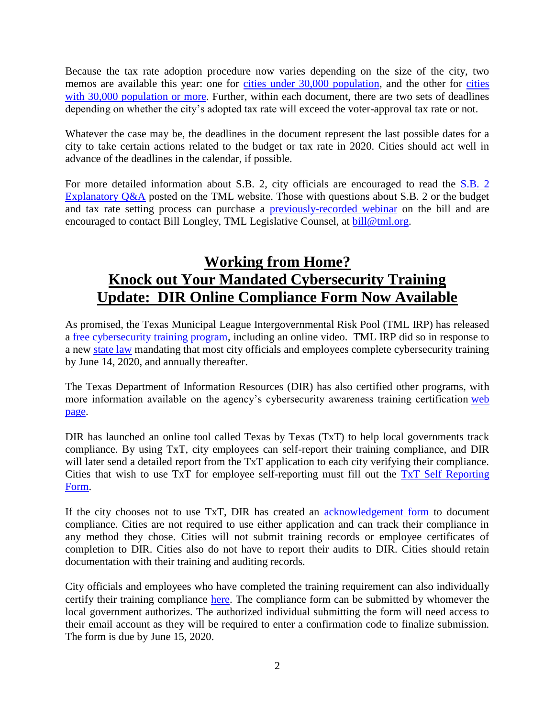Because the tax rate adoption procedure now varies depending on the size of the city, two memos are available this year: one for [cities under 30,000 population,](https://www.tml.org/DocumentCenter/View/1736/2020-TAX-AND-BUDGET-DEADLINES_less-than-30k?bidId=) and the other for cities [with 30,000 population or more.](https://www.tml.org/DocumentCenter/View/1735/2020-TAX-AND-BUDGET-DEADLINES_30k_and_up) Further, within each document, there are two sets of deadlines depending on whether the city's adopted tax rate will exceed the voter-approval tax rate or not.

Whatever the case may be, the deadlines in the document represent the last possible dates for a city to take certain actions related to the budget or tax rate in 2020. Cities should act well in advance of the deadlines in the calendar, if possible.

For more detailed information about S.B. 2, city officials are encouraged to read the [S.B. 2](https://www.tml.org/DocumentCenter/View/1485/sb-2-qa_update_jan-2020)  [Explanatory Q&A](https://www.tml.org/DocumentCenter/View/1485/sb-2-qa_update_jan-2020) posted on the TML website. Those with questions about S.B. 2 or the budget and tax rate setting process can purchase a [previously-recorded webinar](https://gumroad.com/l/qSVRH) on the bill and are encouraged to contact Bill Longley, TML Legislative Counsel, at [bill@tml.org.](mailto:bill@tml.org)

## **Working from Home? Knock out Your Mandated Cybersecurity Training Update: DIR Online Compliance Form Now Available**

As promised, the Texas Municipal League Intergovernmental Risk Pool (TML IRP) has released a [free cybersecurity training program,](http://info.tmlirp.org/cyber-security-training-program) including an online video. TML IRP did so in response to a new [state law](https://statutes.capitol.texas.gov/Docs/GV/htm/GV.2054.htm#2054.511) mandating that most city officials and employees complete cybersecurity training by June 14, 2020, and annually thereafter.

The Texas Department of Information Resources (DIR) has also certified other programs, with more information available on the agency's cybersecurity awareness training certification web [page.](https://dir.texas.gov/View-About-DIR/Information-Security/Pages/Content.aspx?id=154)

DIR has launched an online tool called Texas by Texas (TxT) to help local governments track compliance. By using TxT, city employees can self-report their training compliance, and DIR will later send a detailed report from the TxT application to each city verifying their compliance. Cities that wish to use TxT for employee self-reporting must fill out the [TxT Self Reporting](https://www.surveygizmo.com/s3/5469429/House-Bill-3834-Texas-by-Texas-TxT-Self-Reporting)  [Form.](https://www.surveygizmo.com/s3/5469429/House-Bill-3834-Texas-by-Texas-TxT-Self-Reporting)

If the city chooses not to use TxT, DIR has created an [acknowledgement form](https://pubext.dir.texas.gov/portal/internal/resources/DocumentLibrary/Governing%20Board%20Acknowledgement%202020.docx) to document compliance. Cities are not required to use either application and can track their compliance in any method they chose. Cities will not submit training records or employee certificates of completion to DIR. Cities also do not have to report their audits to DIR. Cities should retain documentation with their training and auditing records.

City officials and employees who have completed the training requirement can also individually certify their training compliance [here.](https://dircommunity.force.com/SecurityTrainingVerification/s/HB3834CertificationLG) The compliance form can be submitted by whomever the local government authorizes. The authorized individual submitting the form will need access to their email account as they will be required to enter a confirmation code to finalize submission. The form is due by June 15, 2020.